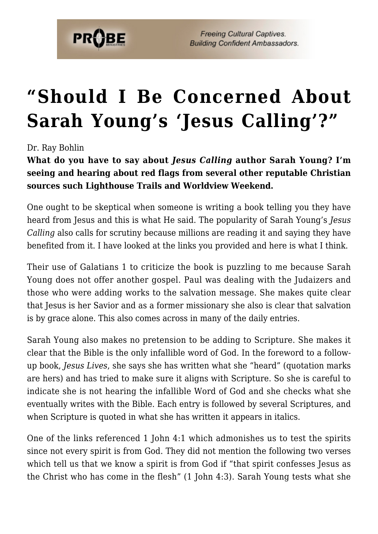

**Freeing Cultural Captives. Building Confident Ambassadors.** 

## **["Should I Be Concerned About](https://probe.org/should-i-be-concerned-about-sarah-youngs-jesus-calling/) [Sarah Young's 'Jesus Calling'?"](https://probe.org/should-i-be-concerned-about-sarah-youngs-jesus-calling/)**

Dr. Ray Bohlin

**What do you have to say about** *Jesus Calling* **author Sarah Young? I'm seeing and hearing about red flags from several other reputable Christian sources such Lighthouse Trails and Worldview Weekend.**

One ought to be skeptical when someone is writing a book telling you they have heard from Jesus and this is what He said. The popularity of Sarah Young's *Jesus Calling* also calls for scrutiny because millions are reading it and saying they have benefited from it. I have looked at the links you provided and here is what I think.

Their use of Galatians 1 to criticize the book is puzzling to me because Sarah Young does not offer another gospel. Paul was dealing with the Judaizers and those who were adding works to the salvation message. She makes quite clear that Jesus is her Savior and as a former missionary she also is clear that salvation is by grace alone. This also comes across in many of the daily entries.

Sarah Young also makes no pretension to be adding to Scripture. She makes it clear that the Bible is the only infallible word of God. In the foreword to a followup book, *Jesus Lives*, she says she has written what she "heard" (quotation marks are hers) and has tried to make sure it aligns with Scripture. So she is careful to indicate she is not hearing the infallible Word of God and she checks what she eventually writes with the Bible. Each entry is followed by several Scriptures, and when Scripture is quoted in what she has written it appears in italics.

One of the links referenced 1 John 4:1 which admonishes us to test the spirits since not every spirit is from God. They did not mention the following two verses which tell us that we know a spirit is from God if "that spirit confesses Jesus as the Christ who has come in the flesh" (1 John 4:3). Sarah Young tests what she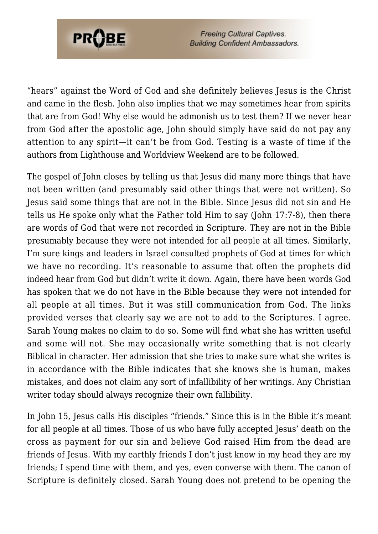

**Freeing Cultural Captives. Building Confident Ambassadors.** 

"hears" against the Word of God and she definitely believes Jesus is the Christ and came in the flesh. John also implies that we may sometimes hear from spirits that are from God! Why else would he admonish us to test them? If we never hear from God after the apostolic age, John should simply have said do not pay any attention to any spirit—it can't be from God. Testing is a waste of time if the authors from Lighthouse and Worldview Weekend are to be followed.

The gospel of John closes by telling us that Jesus did many more things that have not been written (and presumably said other things that were not written). So Jesus said some things that are not in the Bible. Since Jesus did not sin and He tells us He spoke only what the Father told Him to say (John 17:7-8), then there are words of God that were not recorded in Scripture. They are not in the Bible presumably because they were not intended for all people at all times. Similarly, I'm sure kings and leaders in Israel consulted prophets of God at times for which we have no recording. It's reasonable to assume that often the prophets did indeed hear from God but didn't write it down. Again, there have been words God has spoken that we do not have in the Bible because they were not intended for all people at all times. But it was still communication from God. The links provided verses that clearly say we are not to add to the Scriptures. I agree. Sarah Young makes no claim to do so. Some will find what she has written useful and some will not. She may occasionally write something that is not clearly Biblical in character. Her admission that she tries to make sure what she writes is in accordance with the Bible indicates that she knows she is human, makes mistakes, and does not claim any sort of infallibility of her writings. Any Christian writer today should always recognize their own fallibility.

In John 15, Jesus calls His disciples "friends." Since this is in the Bible it's meant for all people at all times. Those of us who have fully accepted Jesus' death on the cross as payment for our sin and believe God raised Him from the dead are friends of Jesus. With my earthly friends I don't just know in my head they are my friends; I spend time with them, and yes, even converse with them. The canon of Scripture is definitely closed. Sarah Young does not pretend to be opening the